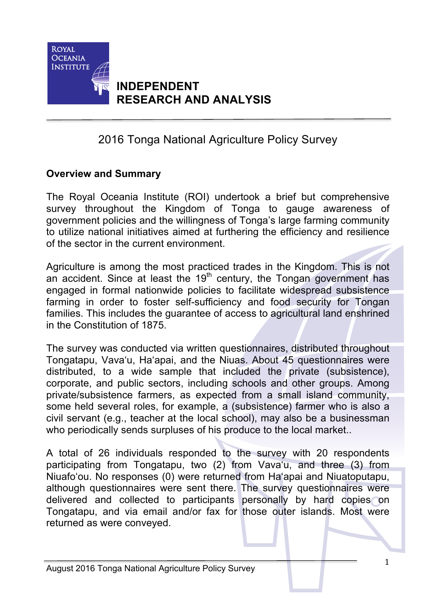

## **INDEPENDENT RESEARCH AND ANALYSIS**

# 2016 Tonga National Agriculture Policy Survey

### **Overview and Summary**

The Royal Oceania Institute (ROI) undertook a brief but comprehensive survey throughout the Kingdom of Tonga to gauge awareness of government policies and the willingness of Tonga's large farming community to utilize national initiatives aimed at furthering the efficiency and resilience of the sector in the current environment.

Agriculture is among the most practiced trades in the Kingdom. This is not an accident. Since at least the 19<sup>th</sup> century, the Tongan government has engaged in formal nationwide policies to facilitate widespread subsistence farming in order to foster self-sufficiency and food security for Tongan families. This includes the guarantee of access to agricultural land enshrined in the Constitution of 1875.

The survey was conducted via written questionnaires, distributed throughout Tongatapu, Vava'u, Ha'apai, and the Niuas. About 45 questionnaires were distributed, to a wide sample that included the private (subsistence), corporate, and public sectors, including schools and other groups. Among private/subsistence farmers, as expected from a small island community, some held several roles, for example, a (subsistence) farmer who is also a civil servant (e.g., teacher at the local school), may also be a businessman who periodically sends surpluses of his produce to the local market..

A total of 26 individuals responded to the survey with 20 respondents participating from Tongatapu, two (2) from Vava'u, and three (3) from Niuafo'ou. No responses (0) were returned from Ha'apai and Niuatoputapu, although questionnaires were sent there. The survey questionnaires were delivered and collected to participants personally by hard copies on Tongatapu, and via email and/or fax for those outer islands. Most were returned as were conveyed.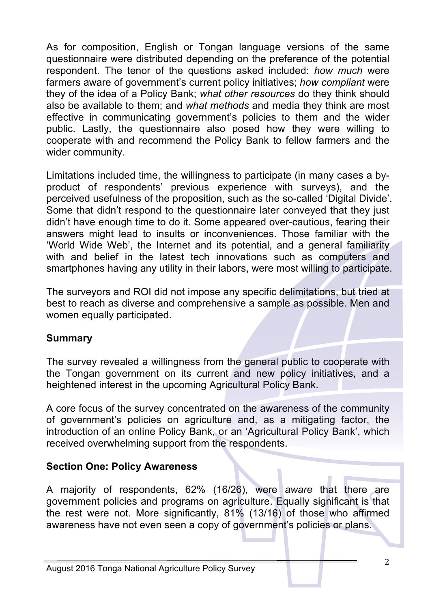As for composition, English or Tongan language versions of the same questionnaire were distributed depending on the preference of the potential respondent. The tenor of the questions asked included: *how much* were farmers aware of government's current policy initiatives; *how compliant* were they of the idea of a Policy Bank; *what other resources* do they think should also be available to them; and *what methods* and media they think are most effective in communicating government's policies to them and the wider public. Lastly, the questionnaire also posed how they were willing to cooperate with and recommend the Policy Bank to fellow farmers and the wider community.

Limitations included time, the willingness to participate (in many cases a byproduct of respondents' previous experience with surveys), and the perceived usefulness of the proposition, such as the so-called 'Digital Divide'. Some that didn't respond to the questionnaire later conveyed that they just didn't have enough time to do it. Some appeared over-cautious, fearing their answers might lead to insults or inconveniences. Those familiar with the 'World Wide Web', the Internet and its potential, and a general familiarity with and belief in the latest tech innovations such as computers and smartphones having any utility in their labors, were most willing to participate.

The surveyors and ROI did not impose any specific delimitations, but tried at best to reach as diverse and comprehensive a sample as possible. Men and women equally participated.

#### **Summary**

The survey revealed a willingness from the general public to cooperate with the Tongan government on its current and new policy initiatives, and a heightened interest in the upcoming Agricultural Policy Bank.

A core focus of the survey concentrated on the awareness of the community of government's policies on agriculture and, as a mitigating factor, the introduction of an online Policy Bank, or an 'Agricultural Policy Bank', which received overwhelming support from the respondents.

### **Section One: Policy Awareness**

A majority of respondents, 62% (16/26), were *aware* that there are government policies and programs on agriculture. Equally significant is that the rest were not. More significantly, 81% (13/16) of those who affirmed awareness have not even seen a copy of government's policies or plans.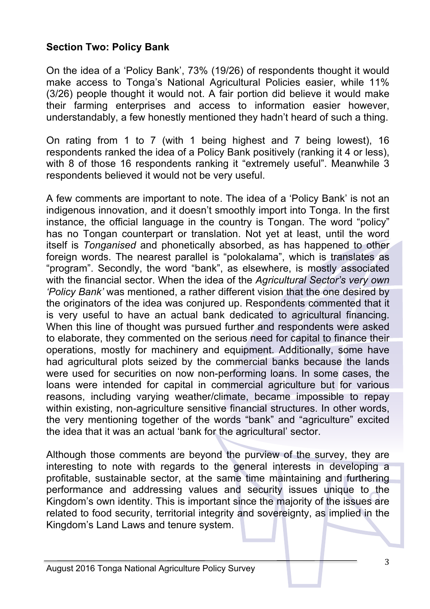### **Section Two: Policy Bank**

On the idea of a 'Policy Bank', 73% (19/26) of respondents thought it would make access to Tonga's National Agricultural Policies easier, while 11% (3/26) people thought it would not. A fair portion did believe it would make their farming enterprises and access to information easier however, understandably, a few honestly mentioned they hadn't heard of such a thing.

On rating from 1 to 7 (with 1 being highest and 7 being lowest), 16 respondents ranked the idea of a Policy Bank positively (ranking it 4 or less), with 8 of those 16 respondents ranking it "extremely useful". Meanwhile 3 respondents believed it would not be very useful.

A few comments are important to note. The idea of a 'Policy Bank' is not an indigenous innovation, and it doesn't smoothly import into Tonga. In the first instance, the official language in the country is Tongan. The word "policy" has no Tongan counterpart or translation. Not yet at least, until the word itself is *Tonganised* and phonetically absorbed, as has happened to other foreign words. The nearest parallel is "polokalama", which is translates as "program". Secondly, the word "bank", as elsewhere, is mostly associated with the financial sector. When the idea of the *Agricultural Sector's very own 'Policy Bank'* was mentioned, a rather different vision that the one desired by the originators of the idea was conjured up. Respondents commented that it is very useful to have an actual bank dedicated to agricultural financing. When this line of thought was pursued further and respondents were asked to elaborate, they commented on the serious need for capital to finance their operations, mostly for machinery and equipment. Additionally, some have had agricultural plots seized by the commercial banks because the lands were used for securities on now non-performing loans. In some cases, the loans were intended for capital in commercial agriculture but for various reasons, including varying weather/climate, became impossible to repay within existing, non-agriculture sensitive financial structures. In other words, the very mentioning together of the words "bank" and "agriculture" excited the idea that it was an actual 'bank for the agricultural' sector.

Although those comments are beyond the purview of the survey, they are interesting to note with regards to the general interests in developing a profitable, sustainable sector, at the same time maintaining and furthering performance and addressing values and security issues unique to the Kingdom's own identity. This is important since the majority of the issues are related to food security, territorial integrity and sovereignty, as implied in the Kingdom's Land Laws and tenure system.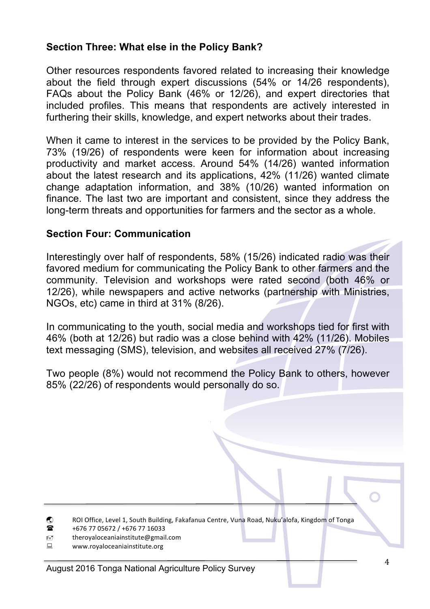### **Section Three: What else in the Policy Bank?**

Other resources respondents favored related to increasing their knowledge about the field through expert discussions (54% or 14/26 respondents), FAQs about the Policy Bank (46% or 12/26), and expert directories that included profiles. This means that respondents are actively interested in furthering their skills, knowledge, and expert networks about their trades.

When it came to interest in the services to be provided by the Policy Bank, 73% (19/26) of respondents were keen for information about increasing productivity and market access. Around 54% (14/26) wanted information about the latest research and its applications, 42% (11/26) wanted climate change adaptation information, and 38% (10/26) wanted information on finance. The last two are important and consistent, since they address the long-term threats and opportunities for farmers and the sector as a whole.

#### **Section Four: Communication**

Interestingly over half of respondents, 58% (15/26) indicated radio was their favored medium for communicating the Policy Bank to other farmers and the community. Television and workshops were rated second (both 46% or 12/26), while newspapers and active networks (partnership with Ministries, NGOs, etc) came in third at 31% (8/26).

In communicating to the youth, social media and workshops tied for first with 46% (both at 12/26) but radio was a close behind with 42% (11/26). Mobiles text messaging (SMS), television, and websites all received 27% (7/26).

Two people (8%) would not recommend the Policy Bank to others, however 85% (22/26) of respondents would personally do so.

- **(C)** ROI Office, Level 1, South Building, Fakafanua Centre, Vuna Road, Nuku'alofa, Kingdom of Tonga
- $\bullet$  +676 77 05672 / +676 77 16033
- " theroyaloceaniainstitute@gmail.com
- **E** www.royaloceaniainstitute.org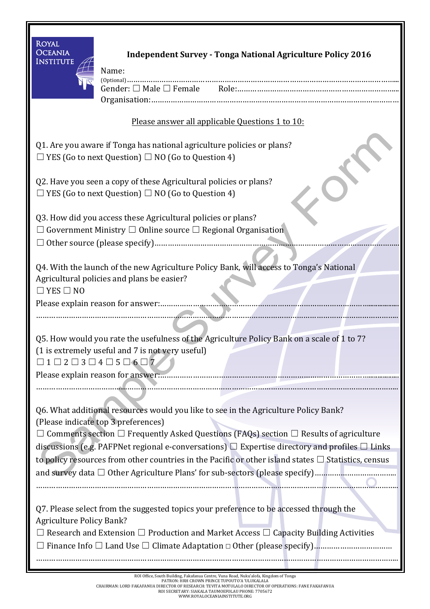| <b>ROYAL</b><br><b>OCEANIA</b><br><b>INSTITUTE</b>                                                                                                                                                   | <b>Independent Survey - Tonga National Agriculture Policy 2016</b><br>Name:                                                                                                                                                                                                                                                                                                                                                                           |  |
|------------------------------------------------------------------------------------------------------------------------------------------------------------------------------------------------------|-------------------------------------------------------------------------------------------------------------------------------------------------------------------------------------------------------------------------------------------------------------------------------------------------------------------------------------------------------------------------------------------------------------------------------------------------------|--|
|                                                                                                                                                                                                      |                                                                                                                                                                                                                                                                                                                                                                                                                                                       |  |
| Please answer all applicable Questions 1 to 10:                                                                                                                                                      |                                                                                                                                                                                                                                                                                                                                                                                                                                                       |  |
| Q1. Are you aware if Tonga has national agriculture policies or plans?<br>$\Box$ YES (Go to next Question) $\Box$ NO (Go to Question 4)                                                              |                                                                                                                                                                                                                                                                                                                                                                                                                                                       |  |
| Q2. Have you seen a copy of these Agricultural policies or plans?<br>$\Box$ YES (Go to next Question) $\Box$ NO (Go to Question 4)                                                                   |                                                                                                                                                                                                                                                                                                                                                                                                                                                       |  |
| Q3. How did you access these Agricultural policies or plans?<br>Government Ministry $\square$ Online source $\square$ Regional Organisation                                                          |                                                                                                                                                                                                                                                                                                                                                                                                                                                       |  |
| Q4. With the launch of the new Agriculture Policy Bank, will access to Tonga's National<br>Agricultural policies and plans be easier?<br>$\Box$ YES $\Box$ NO                                        |                                                                                                                                                                                                                                                                                                                                                                                                                                                       |  |
| Q5. How would you rate the usefulness of the Agriculture Policy Bank on a scale of 1 to 7?<br>(1 is extremely useful and 7 is not very useful)<br>$\Box 1 \Box 2 \Box 3 \Box 4 \Box 5 \Box 6 \Box 7$ |                                                                                                                                                                                                                                                                                                                                                                                                                                                       |  |
|                                                                                                                                                                                                      | Q6. What additional resources would you like to see in the Agriculture Policy Bank?<br>(Please indicate top 3 preferences)<br>Comments section $\Box$ Frequently Asked Questions (FAQs) section $\Box$ Results of agriculture<br>discussions (e.g. PAFPNet regional e-conversations) $\Box$ Expertise directory and profiles $\Box$ Links<br>to policy resources from other countries in the Pacific or other island states $\Box$ Statistics, census |  |
| <b>Agriculture Policy Bank?</b>                                                                                                                                                                      | Q7. Please select from the suggested topics your preference to be accessed through the<br>$\Box$ Research and Extension $\Box$ Production and Market Access $\Box$ Capacity Building Activities                                                                                                                                                                                                                                                       |  |